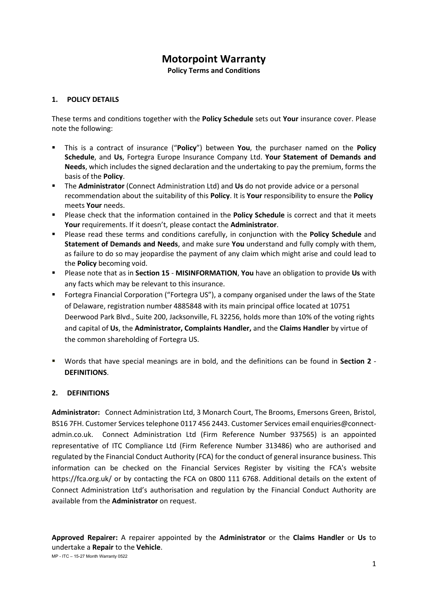# **Motorpoint Warranty**

**Policy Terms and Conditions**

# **1. POLICY DETAILS**

These terms and conditions together with the **Policy Schedule** sets out **Your** insurance cover. Please note the following:

- This is a contract of insurance ("**Policy**") between **You**, the purchaser named on the **Policy Schedule**, and **Us**, Fortegra Europe Insurance Company Ltd. **Your Statement of Demands and Needs**, which includes the signed declaration and the undertaking to pay the premium, forms the basis of the **Policy**.
- The **Administrator** (Connect Administration Ltd) and **Us** do not provide advice or a personal recommendation about the suitability of this **Policy**. It is **Your** responsibility to ensure the **Policy** meets **Your** needs.
- Please check that the information contained in the **Policy Schedule** is correct and that it meets **Your** requirements. If it doesn't, please contact the **Administrator**.
- Please read these terms and conditions carefully, in conjunction with the **Policy Schedule** and **Statement of Demands and Needs**, and make sure **You** understand and fully comply with them, as failure to do so may jeopardise the payment of any claim which might arise and could lead to the **Policy** becoming void.
- Please note that as in **Section 15 MISINFORMATION**, **You** have an obligation to provide **Us** with any facts which may be relevant to this insurance.
- Fortegra Financial Corporation ("Fortegra US"), a company organised under the laws of the State of Delaware, registration number 4885848 with its main principal office located at 10751 Deerwood Park Blvd., Suite 200, Jacksonville, FL 32256, holds more than 10% of the voting rights and capital of **Us**, the **Administrator, Complaints Handler,** and the **Claims Handler** by virtue of the common shareholding of Fortegra US.
- Words that have special meanings are in bold, and the definitions can be found in **Section 2 DEFINITIONS**.

#### **2. DEFINITIONS**

**Administrator:** Connect Administration Ltd, 3 Monarch Court, The Brooms, Emersons Green, Bristol, BS16 7FH. Customer Services telephone 0117 456 2443. Customer Services email enquiries@connectadmin.co.uk. Connect Administration Ltd (Firm Reference Number 937565) is an appointed representative of ITC Compliance Ltd (Firm Reference Number 313486) who are authorised and regulated by the Financial Conduct Authority (FCA) for the conduct of general insurance business. This information can be checked on the Financial Services Register by visiting the FCA's website https://fca.org.uk/ or by contacting the FCA on 0800 111 6768. Additional details on the extent of Connect Administration Ltd's authorisation and regulation by the Financial Conduct Authority are available from the **Administrator** on request.

**Approved Repairer:** A repairer appointed by the **Administrator** or the **Claims Handler** or **Us** to undertake a **Repair** to the **Vehicle**.

MP - ITC – 15-27 Month Warranty 0522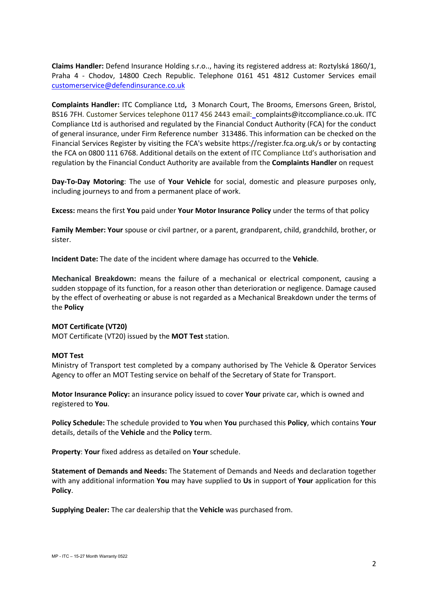**Claims Handler:** Defend Insurance Holding s.r.o.., having its registered address at: Roztylská 1860/1, Praha 4 - Chodov, 14800 Czech Republic. Telephone 0161 451 4812 Customer Services email [customerservice@defendinsurance.co.uk](mailto:customerservice@defendinsurance.co.uk)

**Complaints Handler:** ITC Compliance Ltd**,** 3 Monarch Court, The Brooms, Emersons Green, Bristol, BS16 7FH. Customer Services telephone 0117 456 2443 email: complaints@itccompliance.co.uk. ITC Compliance Ltd is authorised and regulated by the Financial Conduct Authority (FCA) for the conduct of general insurance, under Firm Reference number 313486. This information can be checked on the Financial Services Register by visiting the FCA's website https://register.fca.org.uk/s or by contacting the FCA on 0800 111 6768. Additional details on the extent of ITC Compliance Ltd's authorisation and regulation by the Financial Conduct Authority are available from the **Complaints Handler** on request

**Day-To-Day Motoring**: The use of **Your Vehicle** for social, domestic and pleasure purposes only, including journeys to and from a permanent place of work.

**Excess:** means the first **You** paid under **Your Motor Insurance Policy** under the terms of that policy

**Family Member: Your** spouse or civil partner, or a parent, grandparent, child, grandchild, brother, or sister.

**Incident Date:** The date of the incident where damage has occurred to the **Vehicle**.

**Mechanical Breakdown:** means the failure of a mechanical or electrical component, causing a sudden stoppage of its function, for a reason other than deterioration or negligence. Damage caused by the effect of overheating or abuse is not regarded as a Mechanical Breakdown under the terms of the **Policy**

#### **MOT Certificate (VT20)**

MOT Certificate (VT20) issued by the **MOT Test** station.

#### **MOT Test**

Ministry of Transport test completed by a company authorised by The Vehicle & Operator Services Agency to offer an MOT Testing service on behalf of the Secretary of State for Transport.

**Motor Insurance Policy:** an insurance policy issued to cover **Your** private car, which is owned and registered to **You**.

**Policy Schedule:** The schedule provided to **You** when **You** purchased this **Policy**, which contains **Your** details, details of the **Vehicle** and the **Policy** term.

**Property**: **Your** fixed address as detailed on **Your** schedule.

**Statement of Demands and Needs:** The Statement of Demands and Needs and declaration together with any additional information **You** may have supplied to **Us** in support of **Your** application for this **Policy**.

**Supplying Dealer:** The car dealership that the **Vehicle** was purchased from.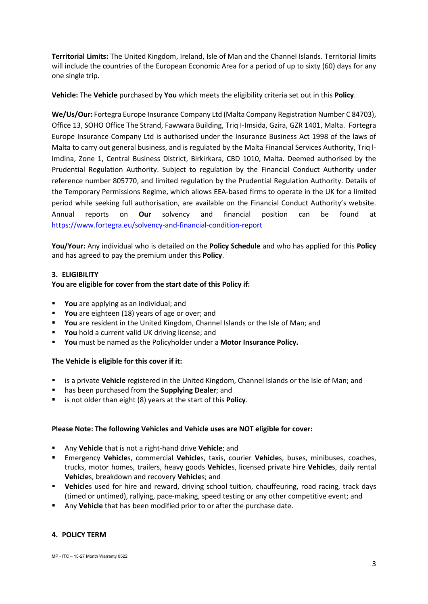**Territorial Limits:** The United Kingdom, Ireland, Isle of Man and the Channel Islands. Territorial limits will include the countries of the European Economic Area for a period of up to sixty (60) days for any one single trip.

**Vehicle:** The **Vehicle** purchased by **You** which meets the eligibility criteria set out in this **Policy**.

**We/Us/Our:** Fortegra Europe Insurance Company Ltd (Malta Company Registration Number C 84703), Office 13, SOHO Office The Strand, Fawwara Building, Triq I-Imsida, Gzira, GZR 1401, Malta. Fortegra Europe Insurance Company Ltd is authorised under the Insurance Business Act 1998 of the laws of Malta to carry out general business, and is regulated by the Malta Financial Services Authority, Triq l-Imdina, Zone 1, Central Business District, Birkirkara, CBD 1010, Malta. Deemed authorised by the Prudential Regulation Authority. Subject to regulation by the Financial Conduct Authority under reference number 805770, and limited regulation by the Prudential Regulation Authority. Details of the Temporary Permissions Regime, which allows EEA-based firms to operate in the UK for a limited period while seeking full authorisation, are available on the Financial Conduct Authority's website. Annual reports on **Our** solvency and financial position can be found at <https://www.fortegra.eu/solvency-and-financial-condition-report>

**You/Your:** Any individual who is detailed on the **Policy Schedule** and who has applied for this **Policy** and has agreed to pay the premium under this **Policy**.

## **3. ELIGIBILITY**

## **You are eligible for cover from the start date of this Policy if:**

- **You** are applying as an individual; and
- **You** are eighteen (18) years of age or over; and
- **You** are resident in the United Kingdom, Channel Islands or the Isle of Man; and
- You hold a current valid UK driving license; and
- **You** must be named as the Policyholder under a **Motor Insurance Policy.**

#### **The Vehicle is eligible for this cover if it:**

- is a private **Vehicle** registered in the United Kingdom, Channel Islands or the Isle of Man; and
- has been purchased from the **Supplying Dealer**; and
- is not older than eight (8) years at the start of this **Policy**.

#### **Please Note: The following Vehicles and Vehicle uses are NOT eligible for cover:**

- Any **Vehicle** that is not a right-hand drive **Vehicle**; and
- Emergency **Vehicle**s, commercial **Vehicle**s, taxis, courier **Vehicle**s, buses, minibuses, coaches, trucks, motor homes, trailers, heavy goods **Vehicle**s, licensed private hire **Vehicle**s, daily rental **Vehicle**s, breakdown and recovery **Vehicle**s; and
- **Vehicle**s used for hire and reward, driving school tuition, chauffeuring, road racing, track days (timed or untimed), rallying, pace-making, speed testing or any other competitive event; and
- Any **Vehicle** that has been modified prior to or after the purchase date.

#### **4. POLICY TERM**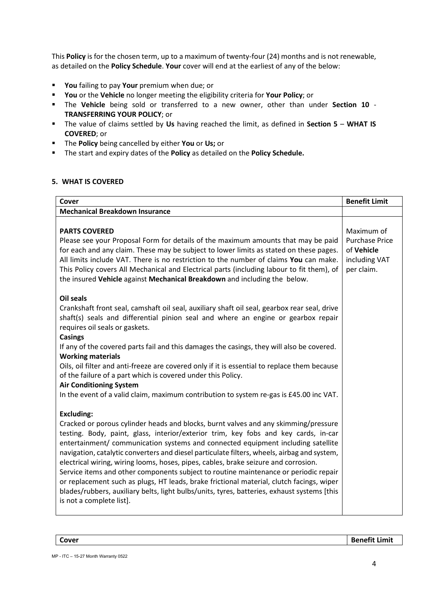This **Policy** is for the chosen term, up to a maximum of twenty-four (24) months and is not renewable, as detailed on the **Policy Schedule**. **Your** cover will end at the earliest of any of the below:

- **You** failing to pay **Your** premium when due; or
- **You** or the **Vehicle** no longer meeting the eligibility criteria for **Your Policy**; or
- The **Vehicle** being sold or transferred to a new owner, other than under **Section 10 TRANSFERRING YOUR POLICY**; or
- The value of claims settled by **Us** having reached the limit, as defined in **Section 5 WHAT IS COVERED**; or
- The **Policy** being cancelled by either **You** or **Us;** or
- The start and expiry dates of the **Policy** as detailed on the **Policy Schedule.**

#### **5. WHAT IS COVERED**

| <b>Mechanical Breakdown Insurance</b><br><b>PARTS COVERED</b><br>Maximum of<br>Please see your Proposal Form for details of the maximum amounts that may be paid<br><b>Purchase Price</b><br>for each and any claim. These may be subject to lower limits as stated on these pages.<br>of Vehicle<br>All limits include VAT. There is no restriction to the number of claims You can make.<br>including VAT<br>per claim.<br>This Policy covers All Mechanical and Electrical parts (including labour to fit them), of<br>the insured Vehicle against Mechanical Breakdown and including the below. |
|-----------------------------------------------------------------------------------------------------------------------------------------------------------------------------------------------------------------------------------------------------------------------------------------------------------------------------------------------------------------------------------------------------------------------------------------------------------------------------------------------------------------------------------------------------------------------------------------------------|
|                                                                                                                                                                                                                                                                                                                                                                                                                                                                                                                                                                                                     |
|                                                                                                                                                                                                                                                                                                                                                                                                                                                                                                                                                                                                     |
|                                                                                                                                                                                                                                                                                                                                                                                                                                                                                                                                                                                                     |
|                                                                                                                                                                                                                                                                                                                                                                                                                                                                                                                                                                                                     |
|                                                                                                                                                                                                                                                                                                                                                                                                                                                                                                                                                                                                     |
|                                                                                                                                                                                                                                                                                                                                                                                                                                                                                                                                                                                                     |
|                                                                                                                                                                                                                                                                                                                                                                                                                                                                                                                                                                                                     |
|                                                                                                                                                                                                                                                                                                                                                                                                                                                                                                                                                                                                     |
| <b>Oil seals</b>                                                                                                                                                                                                                                                                                                                                                                                                                                                                                                                                                                                    |
| Crankshaft front seal, camshaft oil seal, auxiliary shaft oil seal, gearbox rear seal, drive                                                                                                                                                                                                                                                                                                                                                                                                                                                                                                        |
| shaft(s) seals and differential pinion seal and where an engine or gearbox repair                                                                                                                                                                                                                                                                                                                                                                                                                                                                                                                   |
| requires oil seals or gaskets.                                                                                                                                                                                                                                                                                                                                                                                                                                                                                                                                                                      |
| <b>Casings</b>                                                                                                                                                                                                                                                                                                                                                                                                                                                                                                                                                                                      |
| If any of the covered parts fail and this damages the casings, they will also be covered.                                                                                                                                                                                                                                                                                                                                                                                                                                                                                                           |
| <b>Working materials</b>                                                                                                                                                                                                                                                                                                                                                                                                                                                                                                                                                                            |
| Oils, oil filter and anti-freeze are covered only if it is essential to replace them because                                                                                                                                                                                                                                                                                                                                                                                                                                                                                                        |
| of the failure of a part which is covered under this Policy.                                                                                                                                                                                                                                                                                                                                                                                                                                                                                                                                        |
| <b>Air Conditioning System</b>                                                                                                                                                                                                                                                                                                                                                                                                                                                                                                                                                                      |
| In the event of a valid claim, maximum contribution to system re-gas is £45.00 inc VAT.                                                                                                                                                                                                                                                                                                                                                                                                                                                                                                             |
| <b>Excluding:</b>                                                                                                                                                                                                                                                                                                                                                                                                                                                                                                                                                                                   |
| Cracked or porous cylinder heads and blocks, burnt valves and any skimming/pressure                                                                                                                                                                                                                                                                                                                                                                                                                                                                                                                 |
| testing. Body, paint, glass, interior/exterior trim, key fobs and key cards, in-car                                                                                                                                                                                                                                                                                                                                                                                                                                                                                                                 |
| entertainment/ communication systems and connected equipment including satellite                                                                                                                                                                                                                                                                                                                                                                                                                                                                                                                    |
| navigation, catalytic converters and diesel particulate filters, wheels, airbag and system,                                                                                                                                                                                                                                                                                                                                                                                                                                                                                                         |
| electrical wiring, wiring looms, hoses, pipes, cables, brake seizure and corrosion.                                                                                                                                                                                                                                                                                                                                                                                                                                                                                                                 |
| Service items and other components subject to routine maintenance or periodic repair                                                                                                                                                                                                                                                                                                                                                                                                                                                                                                                |
| or replacement such as plugs, HT leads, brake frictional material, clutch facings, wiper                                                                                                                                                                                                                                                                                                                                                                                                                                                                                                            |
| blades/rubbers, auxiliary belts, light bulbs/units, tyres, batteries, exhaust systems [this                                                                                                                                                                                                                                                                                                                                                                                                                                                                                                         |
| is not a complete list].                                                                                                                                                                                                                                                                                                                                                                                                                                                                                                                                                                            |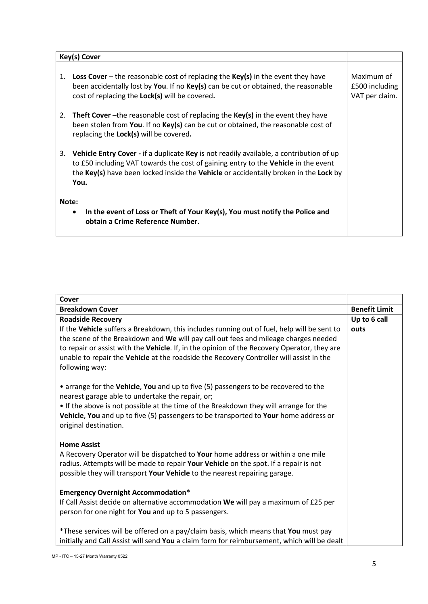| Key(s) Cover                                                                                                                   |                                                                                                                                                                                                                                                                               |                                                |
|--------------------------------------------------------------------------------------------------------------------------------|-------------------------------------------------------------------------------------------------------------------------------------------------------------------------------------------------------------------------------------------------------------------------------|------------------------------------------------|
| 1.                                                                                                                             | <b>Loss Cover</b> – the reasonable cost of replacing the $Key(s)$ in the event they have<br>been accidentally lost by You. If no Key(s) can be cut or obtained, the reasonable<br>cost of replacing the <b>Lock(s)</b> will be covered.                                       | Maximum of<br>£500 including<br>VAT per claim. |
| 2.                                                                                                                             | <b>Theft Cover</b> -the reasonable cost of replacing the <b>Key(s)</b> in the event they have<br>been stolen from You. If no Key(s) can be cut or obtained, the reasonable cost of<br>replacing the Lock(s) will be covered.                                                  |                                                |
| 3.                                                                                                                             | Vehicle Entry Cover - if a duplicate Key is not readily available, a contribution of up<br>to £50 including VAT towards the cost of gaining entry to the Vehicle in the event<br>the Key(s) have been locked inside the Vehicle or accidentally broken in the Lock by<br>You. |                                                |
| Note:<br>In the event of Loss or Theft of Your Key(s), You must notify the Police and<br>٠<br>obtain a Crime Reference Number. |                                                                                                                                                                                                                                                                               |                                                |

| Cover                                                                                                                                                                                                                                                                                                                                                                                                                      |                      |
|----------------------------------------------------------------------------------------------------------------------------------------------------------------------------------------------------------------------------------------------------------------------------------------------------------------------------------------------------------------------------------------------------------------------------|----------------------|
| <b>Breakdown Cover</b>                                                                                                                                                                                                                                                                                                                                                                                                     | <b>Benefit Limit</b> |
| <b>Roadside Recovery</b><br>If the Vehicle suffers a Breakdown, this includes running out of fuel, help will be sent to<br>the scene of the Breakdown and We will pay call out fees and mileage charges needed<br>to repair or assist with the Vehicle. If, in the opinion of the Recovery Operator, they are<br>unable to repair the Vehicle at the roadside the Recovery Controller will assist in the<br>following way: | Up to 6 call<br>outs |
| • arrange for the Vehicle, You and up to five (5) passengers to be recovered to the<br>nearest garage able to undertake the repair, or;<br>. If the above is not possible at the time of the Breakdown they will arrange for the<br>Vehicle, You and up to five (5) passengers to be transported to Your home address or<br>original destination.                                                                          |                      |
| <b>Home Assist</b><br>A Recovery Operator will be dispatched to Your home address or within a one mile<br>radius. Attempts will be made to repair Your Vehicle on the spot. If a repair is not<br>possible they will transport Your Vehicle to the nearest repairing garage.                                                                                                                                               |                      |
| <b>Emergency Overnight Accommodation*</b><br>If Call Assist decide on alternative accommodation We will pay a maximum of £25 per<br>person for one night for You and up to 5 passengers.                                                                                                                                                                                                                                   |                      |
| *These services will be offered on a pay/claim basis, which means that You must pay<br>initially and Call Assist will send You a claim form for reimbursement, which will be dealt                                                                                                                                                                                                                                         |                      |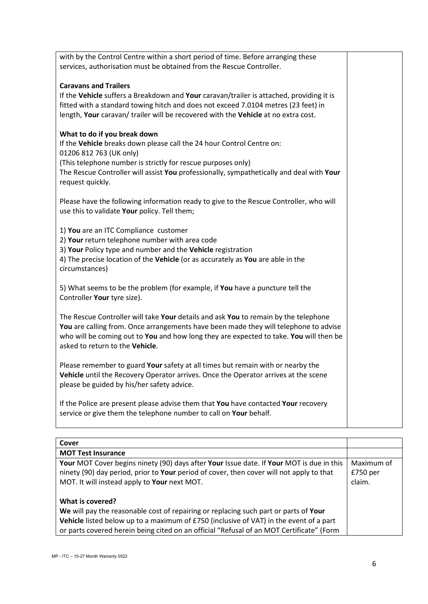| with by the Control Centre within a short period of time. Before arranging these<br>services, authorisation must be obtained from the Rescue Controller.                                                                                                                                                         |  |
|------------------------------------------------------------------------------------------------------------------------------------------------------------------------------------------------------------------------------------------------------------------------------------------------------------------|--|
| <b>Caravans and Trailers</b><br>If the Vehicle suffers a Breakdown and Your caravan/trailer is attached, providing it is<br>fitted with a standard towing hitch and does not exceed 7.0104 metres (23 feet) in<br>length, Your caravan/ trailer will be recovered with the Vehicle at no extra cost.             |  |
| What to do if you break down<br>If the Vehicle breaks down please call the 24 hour Control Centre on:<br>01206 812 763 (UK only)<br>(This telephone number is strictly for rescue purposes only)<br>The Rescue Controller will assist You professionally, sympathetically and deal with Your<br>request quickly. |  |
| Please have the following information ready to give to the Rescue Controller, who will<br>use this to validate Your policy. Tell them;                                                                                                                                                                           |  |
| 1) You are an ITC Compliance customer<br>2) Your return telephone number with area code<br>3) Your Policy type and number and the Vehicle registration<br>4) The precise location of the Vehicle (or as accurately as You are able in the<br>circumstances)                                                      |  |
| 5) What seems to be the problem (for example, if You have a puncture tell the<br>Controller Your tyre size).                                                                                                                                                                                                     |  |
| The Rescue Controller will take Your details and ask You to remain by the telephone<br>You are calling from. Once arrangements have been made they will telephone to advise<br>who will be coming out to You and how long they are expected to take. You will then be<br>asked to return to the Vehicle.         |  |
| Please remember to guard Your safety at all times but remain with or nearby the<br>Vehicle until the Recovery Operator arrives. Once the Operator arrives at the scene<br>please be guided by his/her safety advice.                                                                                             |  |
| If the Police are present please advise them that You have contacted Your recovery<br>service or give them the telephone number to call on Your behalf.                                                                                                                                                          |  |

| Cover                                                                                                                                                                                |                          |
|--------------------------------------------------------------------------------------------------------------------------------------------------------------------------------------|--------------------------|
| <b>MOT Test Insurance</b>                                                                                                                                                            |                          |
| Your MOT Cover begins ninety (90) days after Your Issue date. If Your MOT is due in this<br>ninety (90) day period, prior to Your period of cover, then cover will not apply to that | Maximum of<br>$£750$ per |
| MOT. It will instead apply to Your next MOT.                                                                                                                                         | claim.                   |
|                                                                                                                                                                                      |                          |
| What is covered?                                                                                                                                                                     |                          |
| We will pay the reasonable cost of repairing or replacing such part or parts of Your                                                                                                 |                          |
| Vehicle listed below up to a maximum of £750 (inclusive of VAT) in the event of a part                                                                                               |                          |
| or parts covered herein being cited on an official "Refusal of an MOT Certificate" (Form                                                                                             |                          |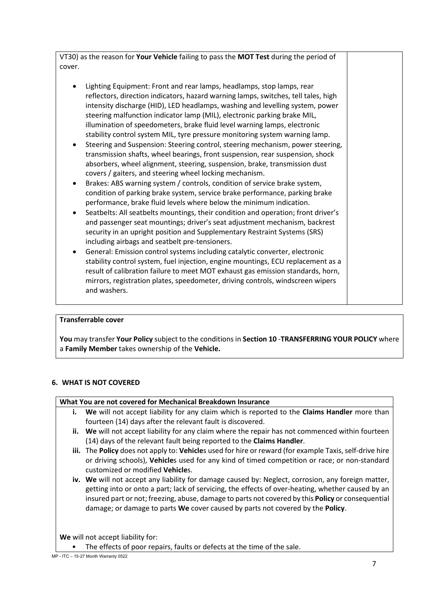VT30) as the reason for **Your Vehicle** failing to pass the **MOT Test** during the period of cover.

- Lighting Equipment: Front and rear lamps, headlamps, stop lamps, rear reflectors, direction indicators, hazard warning lamps, switches, tell tales, high intensity discharge (HID), LED headlamps, washing and levelling system, power steering malfunction indicator lamp (MIL), electronic parking brake MIL, illumination of speedometers, brake fluid level warning lamps, electronic stability control system MIL, tyre pressure monitoring system warning lamp.
- Steering and Suspension: Steering control, steering mechanism, power steering, transmission shafts, wheel bearings, front suspension, rear suspension, shock absorbers, wheel alignment, steering, suspension, brake, transmission dust covers / gaiters, and steering wheel locking mechanism.
- Brakes: ABS warning system / controls, condition of service brake system, condition of parking brake system, service brake performance, parking brake performance, brake fluid levels where below the minimum indication.
- Seatbelts: All seatbelts mountings, their condition and operation; front driver's and passenger seat mountings; driver's seat adjustment mechanism, backrest security in an upright position and Supplementary Restraint Systems (SRS) including airbags and seatbelt pre-tensioners.
- General: Emission control systems including catalytic converter, electronic stability control system, fuel injection, engine mountings, ECU replacement as a result of calibration failure to meet MOT exhaust gas emission standards, horn, mirrors, registration plates, speedometer, driving controls, windscreen wipers and washers.

# **Transferrable cover**

**You** may transfer **Your Policy** subject to the conditions in **Section 10** -**TRANSFERRING YOUR POLICY** where a **Family Member** takes ownership of the **Vehicle.**

# **6. WHAT IS NOT COVERED**

#### **What You are not covered for Mechanical Breakdown Insurance**

- **i. We** will not accept liability for any claim which is reported to the **Claims Handler** more than fourteen (14) days after the relevant fault is discovered.
- **ii. We** will not accept liability for any claim where the repair has not commenced within fourteen (14) days of the relevant fault being reported to the **Claims Handler**.
- **iii.** The **Policy** does not apply to: **Vehicle**s used for hire or reward (for example Taxis, self-drive hire or driving schools), **Vehicle**s used for any kind of timed competition or race; or non-standard customized or modified **Vehicle**s.
- **iv. We** will not accept any liability for damage caused by: Neglect, corrosion, any foreign matter, getting into or onto a part; lack of servicing, the effects of over-heating, whether caused by an insured part or not; freezing, abuse, damage to parts not covered by this **Policy** or consequential damage; or damage to parts **We** cover caused by parts not covered by the **Policy**.

**We** will not accept liability for:

The effects of poor repairs, faults or defects at the time of the sale.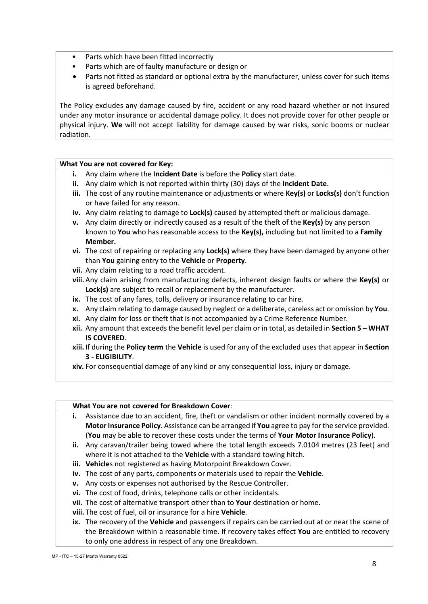- Parts which have been fitted incorrectly
- Parts which are of faulty manufacture or design or
- Parts not fitted as standard or optional extra by the manufacturer, unless cover for such items is agreed beforehand.

The Policy excludes any damage caused by fire, accident or any road hazard whether or not insured under any motor insurance or accidental damage policy. It does not provide cover for other people or physical injury. **We** will not accept liability for damage caused by war risks, sonic booms or nuclear radiation.

#### **What You are not covered for Key:**

- **i.** Any claim where the **Incident Date** is before the **Policy** start date.
- **ii.** Any claim which is not reported within thirty (30) days of the **Incident Date**.
- **iii.** The cost of any routine maintenance or adjustments or where **Key(s)** or **Locks(s)** don't function or have failed for any reason.
- **iv.** Any claim relating to damage to **Lock(s)** caused by attempted theft or malicious damage.
- **v.** Any claim directly or indirectly caused as a result of the theft of the **Key(s)** by any person known to **You** who has reasonable access to the **Key(s),** including but not limited to a **Family Member.**
- **vi.** The cost of repairing or replacing any **Lock(s)** where they have been damaged by anyone other than **You** gaining entry to the **Vehicle** or **Property**.
- **vii.** Any claim relating to a road traffic accident.
- **viii.** Any claim arising from manufacturing defects, inherent design faults or where the **Key(s)** or **Lock(s)** are subject to recall or replacement by the manufacturer.
- **ix.** The cost of any fares, tolls, delivery or insurance relating to car hire.
- **x.** Any claim relating to damage caused by neglect or a deliberate, careless act or omission by **You**.
- **xi.** Any claim for loss or theft that is not accompanied by a Crime Reference Number.
- **xii.** Any amount that exceeds the benefit level per claim or in total, as detailed in **Section 5 – WHAT IS COVERED**.
- **xiii.** If during the **Policy term** the **Vehicle** is used for any of the excluded uses that appear in **Section 3 - ELIGIBILITY**.
- **xiv.** For consequential damage of any kind or any consequential loss, injury or damage.

#### **What You are not covered for Breakdown Cover**:

- **i.** Assistance due to an accident, fire, theft or vandalism or other incident normally covered by a **Motor Insurance Policy**. Assistance can be arranged if **You** agree to pay for the service provided. (**You** may be able to recover these costs under the terms of **Your Motor Insurance Policy**).
- **ii.** Any caravan/trailer being towed where the total length exceeds 7.0104 metres (23 feet) and where it is not attached to the **Vehicle** with a standard towing hitch.
- **iii. Vehicle**s not registered as having Motorpoint Breakdown Cover.
- **iv.** The cost of any parts, components or materials used to repair the **Vehicle**.
- **v.** Any costs or expenses not authorised by the Rescue Controller.
- **vi.** The cost of food, drinks, telephone calls or other incidentals.
- **vii.** The cost of alternative transport other than to **Your** destination or home.
- **viii.** The cost of fuel, oil or insurance for a hire **Vehicle**.
- **ix.** The recovery of the **Vehicle** and passengers if repairs can be carried out at or near the scene of the Breakdown within a reasonable time. If recovery takes effect **You** are entitled to recovery to only one address in respect of any one Breakdown.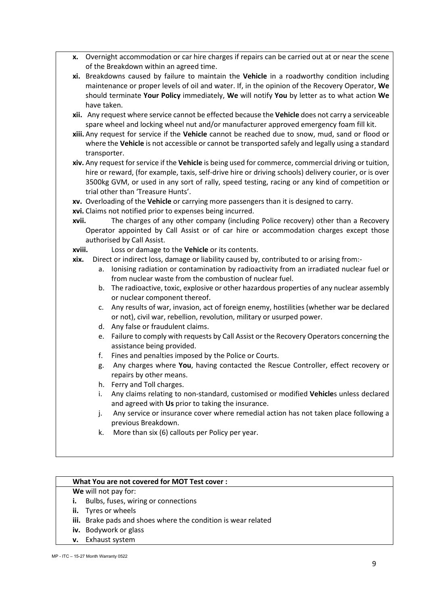- **x.** Overnight accommodation or car hire charges if repairs can be carried out at or near the scene of the Breakdown within an agreed time.
- **xi.** Breakdowns caused by failure to maintain the **Vehicle** in a roadworthy condition including maintenance or proper levels of oil and water. If, in the opinion of the Recovery Operator, **We** should terminate **Your Policy** immediately, **We** will notify **You** by letter as to what action **We** have taken.
- **xii.** Any request where service cannot be effected because the **Vehicle** does not carry a serviceable spare wheel and locking wheel nut and/or manufacturer approved emergency foam fill kit.
- **xiii.** Any request for service if the **Vehicle** cannot be reached due to snow, mud, sand or flood or where the **Vehicle** is not accessible or cannot be transported safely and legally using a standard transporter.
- **xiv.** Any request for service if the **Vehicle** is being used for commerce, commercial driving or tuition, hire or reward, (for example, taxis, self-drive hire or driving schools) delivery courier, or is over 3500kg GVM, or used in any sort of rally, speed testing, racing or any kind of competition or trial other than 'Treasure Hunts'.
- **xv.** Overloading of the **Vehicle** or carrying more passengers than it is designed to carry.
- **xvi.** Claims not notified prior to expenses being incurred.
- **xvii.** The charges of any other company (including Police recovery) other than a Recovery Operator appointed by Call Assist or of car hire or accommodation charges except those authorised by Call Assist.
- **xviii.** Loss or damage to the **Vehicle** or its contents.
- **xix.** Direct or indirect loss, damage or liability caused by, contributed to or arising from:
	- a. Ionising radiation or contamination by radioactivity from an irradiated nuclear fuel or from nuclear waste from the combustion of nuclear fuel.
	- b. The radioactive, toxic, explosive or other hazardous properties of any nuclear assembly or nuclear component thereof.
	- c. Any results of war, invasion, act of foreign enemy, hostilities (whether war be declared or not), civil war, rebellion, revolution, military or usurped power.
	- d. Any false or fraudulent claims.
	- e. Failure to comply with requests by Call Assist or the Recovery Operators concerning the assistance being provided.
	- f. Fines and penalties imposed by the Police or Courts.
	- g. Any charges where **You**, having contacted the Rescue Controller, effect recovery or repairs by other means.
	- h. Ferry and Toll charges.
	- i. Any claims relating to non-standard, customised or modified **Vehicle**s unless declared and agreed with **Us** prior to taking the insurance.
	- j. Any service or insurance cover where remedial action has not taken place following a previous Breakdown.
	- k. More than six (6) callouts per Policy per year.

#### **What You are not covered for MOT Test cover :**

- **We** will not pay for:
- **i.** Bulbs, fuses, wiring or connections
- **ii.** Tyres or wheels
- **iii.** Brake pads and shoes where the condition is wear related
- **iv.** Bodywork or glass
- **v.** Exhaust system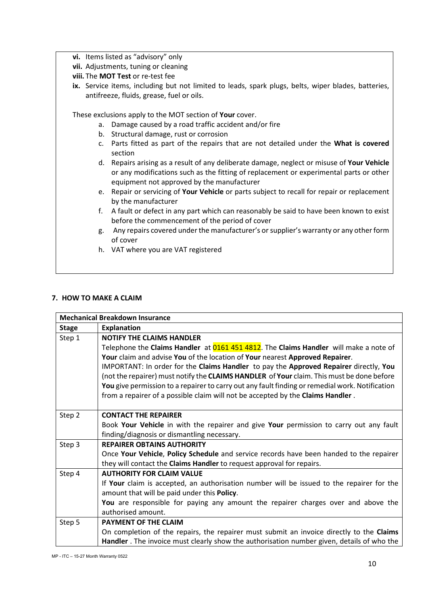- **vi.** Items listed as "advisory" only
- **vii.** Adjustments, tuning or cleaning
- **viii.** The **MOT Test** or re-test fee
- **ix.** Service items, including but not limited to leads, spark plugs, belts, wiper blades, batteries, antifreeze, fluids, grease, fuel or oils.

These exclusions apply to the MOT section of **Your** cover.

- a. Damage caused by a road traffic accident and/or fire
- b. Structural damage, rust or corrosion
- c. Parts fitted as part of the repairs that are not detailed under the **What is covered** section
- d. Repairs arising as a result of any deliberate damage, neglect or misuse of **Your Vehicle** or any modifications such as the fitting of replacement or experimental parts or other equipment not approved by the manufacturer
- e. Repair or servicing of **Your Vehicle** or parts subject to recall for repair or replacement by the manufacturer
- f. A fault or defect in any part which can reasonably be said to have been known to exist before the commencement of the period of cover
- g. Any repairs covered under the manufacturer's or supplier's warranty or any other form of cover
- h. VAT where you are VAT registered

#### **7. HOW TO MAKE A CLAIM**

| <b>Mechanical Breakdown Insurance</b> |                                                                                                 |
|---------------------------------------|-------------------------------------------------------------------------------------------------|
| <b>Stage</b>                          | <b>Explanation</b>                                                                              |
| Step 1                                | <b>NOTIFY THE CLAIMS HANDLER</b>                                                                |
|                                       | Telephone the Claims Handler at 0161 451 4812. The Claims Handler will make a note of           |
|                                       | Your claim and advise You of the location of Your nearest Approved Repairer.                    |
|                                       | IMPORTANT: In order for the Claims Handler to pay the Approved Repairer directly, You           |
|                                       | (not the repairer) must notify the CLAIMS HANDLER of Your claim. This must be done before       |
|                                       | You give permission to a repairer to carry out any fault finding or remedial work. Notification |
|                                       | from a repairer of a possible claim will not be accepted by the Claims Handler.                 |
|                                       |                                                                                                 |
| Step 2                                | <b>CONTACT THE REPAIRER</b>                                                                     |
|                                       | Book Your Vehicle in with the repairer and give Your permission to carry out any fault          |
|                                       | finding/diagnosis or dismantling necessary.                                                     |
| Step 3                                | <b>REPAIRER OBTAINS AUTHORITY</b>                                                               |
|                                       | Once Your Vehicle, Policy Schedule and service records have been handed to the repairer         |
|                                       | they will contact the <b>Claims Handler</b> to request approval for repairs.                    |
| Step 4                                | <b>AUTHORITY FOR CLAIM VALUE</b>                                                                |
|                                       | If Your claim is accepted, an authorisation number will be issued to the repairer for the       |
|                                       | amount that will be paid under this Policy.                                                     |
|                                       | You are responsible for paying any amount the repairer charges over and above the               |
|                                       | authorised amount.                                                                              |
| Step 5                                | <b>PAYMENT OF THE CLAIM</b>                                                                     |
|                                       | On completion of the repairs, the repairer must submit an invoice directly to the Claims        |
|                                       | Handler . The invoice must clearly show the authorisation number given, details of who the      |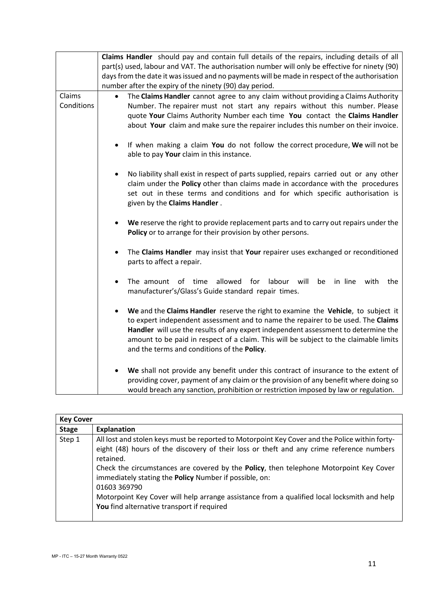|                      | Claims Handler should pay and contain full details of the repairs, including details of all<br>part(s) used, labour and VAT. The authorisation number will only be effective for ninety (90)<br>days from the date it was issued and no payments will be made in respect of the authorisation                                                                                                                    |
|----------------------|------------------------------------------------------------------------------------------------------------------------------------------------------------------------------------------------------------------------------------------------------------------------------------------------------------------------------------------------------------------------------------------------------------------|
|                      | number after the expiry of the ninety (90) day period.                                                                                                                                                                                                                                                                                                                                                           |
| Claims<br>Conditions | The Claims Handler cannot agree to any claim without providing a Claims Authority<br>Number. The repairer must not start any repairs without this number. Please<br>quote Your Claims Authority Number each time You contact the Claims Handler<br>about Your claim and make sure the repairer includes this number on their invoice.                                                                            |
|                      | If when making a claim You do not follow the correct procedure, We will not be<br>$\bullet$<br>able to pay Your claim in this instance.                                                                                                                                                                                                                                                                          |
|                      | No liability shall exist in respect of parts supplied, repairs carried out or any other<br>claim under the Policy other than claims made in accordance with the procedures<br>set out in these terms and conditions and for which specific authorisation is<br>given by the Claims Handler.                                                                                                                      |
|                      | We reserve the right to provide replacement parts and to carry out repairs under the<br>Policy or to arrange for their provision by other persons.                                                                                                                                                                                                                                                               |
|                      | The Claims Handler may insist that Your repairer uses exchanged or reconditioned<br>parts to affect a repair.                                                                                                                                                                                                                                                                                                    |
|                      | allowed<br>labour<br>in line<br>The amount<br>of<br>time<br>for<br>will<br>be<br>with<br>the<br>manufacturer's/Glass's Guide standard repair times.                                                                                                                                                                                                                                                              |
|                      | We and the Claims Handler reserve the right to examine the Vehicle, to subject it<br>$\bullet$<br>to expert independent assessment and to name the repairer to be used. The Claims<br>Handler will use the results of any expert independent assessment to determine the<br>amount to be paid in respect of a claim. This will be subject to the claimable limits<br>and the terms and conditions of the Policy. |
|                      | We shall not provide any benefit under this contract of insurance to the extent of<br>providing cover, payment of any claim or the provision of any benefit where doing so<br>would breach any sanction, prohibition or restriction imposed by law or regulation.                                                                                                                                                |

| <b>Key Cover</b> |                                                                                                                                                                                                                                                                                                                                                                                                                                                                                                                          |
|------------------|--------------------------------------------------------------------------------------------------------------------------------------------------------------------------------------------------------------------------------------------------------------------------------------------------------------------------------------------------------------------------------------------------------------------------------------------------------------------------------------------------------------------------|
| <b>Stage</b>     | <b>Explanation</b>                                                                                                                                                                                                                                                                                                                                                                                                                                                                                                       |
| Step 1           | All lost and stolen keys must be reported to Motorpoint Key Cover and the Police within forty-<br>eight (48) hours of the discovery of their loss or theft and any crime reference numbers<br>retained.<br>Check the circumstances are covered by the Policy, then telephone Motorpoint Key Cover<br>immediately stating the Policy Number if possible, on:<br>01603 369790<br>Motorpoint Key Cover will help arrange assistance from a qualified local locksmith and help<br>You find alternative transport if required |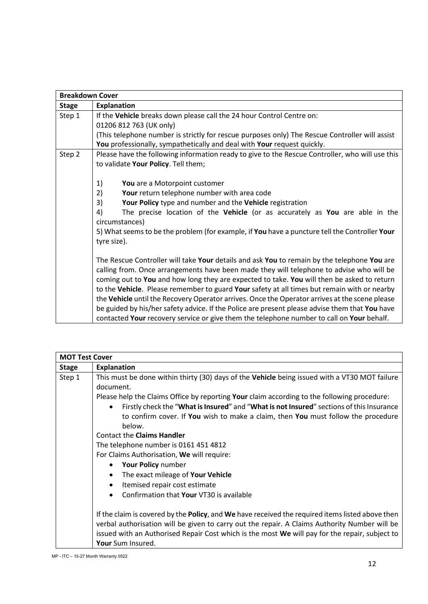| <b>Breakdown Cover</b> |                                                                                                                                                                                                                                                                                       |  |
|------------------------|---------------------------------------------------------------------------------------------------------------------------------------------------------------------------------------------------------------------------------------------------------------------------------------|--|
| <b>Stage</b>           | <b>Explanation</b>                                                                                                                                                                                                                                                                    |  |
| Step 1                 | If the Vehicle breaks down please call the 24 hour Control Centre on:<br>01206 812 763 (UK only)<br>(This telephone number is strictly for rescue purposes only) The Rescue Controller will assist<br>You professionally, sympathetically and deal with Your request quickly.         |  |
| Step 2                 | Please have the following information ready to give to the Rescue Controller, who will use this<br>to validate Your Policy. Tell them;                                                                                                                                                |  |
|                        | 1)<br>You are a Motorpoint customer                                                                                                                                                                                                                                                   |  |
|                        | 2)<br>Your return telephone number with area code                                                                                                                                                                                                                                     |  |
|                        | 3)<br>Your Policy type and number and the Vehicle registration                                                                                                                                                                                                                        |  |
|                        | 4)<br>The precise location of the Vehicle (or as accurately as You are able in the<br>circumstances)                                                                                                                                                                                  |  |
|                        | 5) What seems to be the problem (for example, if You have a puncture tell the Controller Your<br>tyre size).                                                                                                                                                                          |  |
|                        | The Rescue Controller will take Your details and ask You to remain by the telephone You are<br>calling from. Once arrangements have been made they will telephone to advise who will be<br>coming out to You and how long they are expected to take. You will then be asked to return |  |
|                        | to the Vehicle. Please remember to guard Your safety at all times but remain with or nearby                                                                                                                                                                                           |  |
|                        | the Vehicle until the Recovery Operator arrives. Once the Operator arrives at the scene please                                                                                                                                                                                        |  |
|                        | be guided by his/her safety advice. If the Police are present please advise them that You have                                                                                                                                                                                        |  |
|                        | contacted Your recovery service or give them the telephone number to call on Your behalf.                                                                                                                                                                                             |  |

| <b>MOT Test Cover</b> |                                                                                                  |  |
|-----------------------|--------------------------------------------------------------------------------------------------|--|
| <b>Stage</b>          | <b>Explanation</b>                                                                               |  |
| Step 1                | This must be done within thirty (30) days of the Vehicle being issued with a VT30 MOT failure    |  |
|                       | document.                                                                                        |  |
|                       | Please help the Claims Office by reporting Your claim according to the following procedure:      |  |
|                       | Firstly check the "What is Insured" and "What is not Insured" sections of this Insurance         |  |
|                       | to confirm cover. If You wish to make a claim, then You must follow the procedure                |  |
|                       | below.                                                                                           |  |
|                       | <b>Contact the Claims Handler</b>                                                                |  |
|                       | The telephone number is 0161 451 4812                                                            |  |
|                       | For Claims Authorisation, We will require:                                                       |  |
|                       | Your Policy number                                                                               |  |
|                       | The exact mileage of Your Vehicle<br>$\bullet$                                                   |  |
|                       | Itemised repair cost estimate<br>$\bullet$                                                       |  |
|                       | Confirmation that Your VT30 is available<br>$\bullet$                                            |  |
|                       | If the claim is covered by the Policy, and We have received the required items listed above then |  |
|                       | verbal authorisation will be given to carry out the repair. A Claims Authority Number will be    |  |
|                       | issued with an Authorised Repair Cost which is the most We will pay for the repair, subject to   |  |
|                       | Your Sum Insured.                                                                                |  |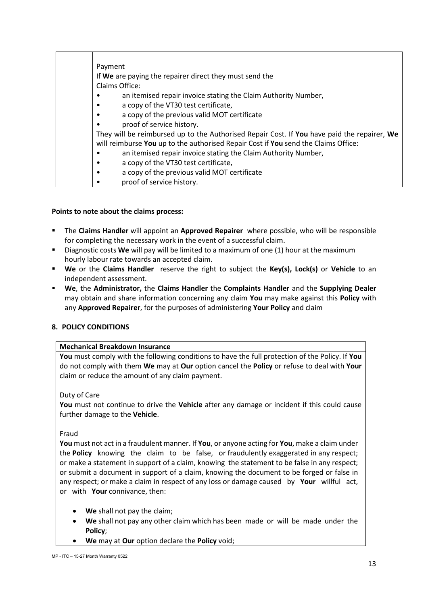| Payment                                                                                     |
|---------------------------------------------------------------------------------------------|
| If We are paying the repairer direct they must send the                                     |
| Claims Office:                                                                              |
| an itemised repair invoice stating the Claim Authority Number,                              |
| a copy of the VT30 test certificate,                                                        |
| a copy of the previous valid MOT certificate<br>٠                                           |
| proof of service history.                                                                   |
| They will be reimbursed up to the Authorised Repair Cost. If You have paid the repairer, We |
| will reimburse You up to the authorised Repair Cost if You send the Claims Office:          |
| an itemised repair invoice stating the Claim Authority Number,                              |
| a copy of the VT30 test certificate,<br>٠                                                   |
| a copy of the previous valid MOT certificate<br>٠                                           |
| proof of service history.                                                                   |

## **Points to note about the claims process:**

- The **Claims Handler** will appoint an **Approved Repairer** where possible, who will be responsible for completing the necessary work in the event of a successful claim.
- Diagnostic costs **We** will pay will be limited to a maximum of one (1) hour at the maximum hourly labour rate towards an accepted claim.
- **We** or the **Claims Handler** reserve the right to subject the **Key(s), Lock(s)** or **Vehicle** to an independent assessment.
- **We**, the **Administrator,** the **Claims Handler** the **Complaints Handler** and the **Supplying Dealer** may obtain and share information concerning any claim **You** may make against this **Policy** with any **Approved Repairer**, for the purposes of administering **Your Policy** and claim

#### **8. POLICY CONDITIONS**

#### **Mechanical Breakdown Insurance**

**You** must comply with the following conditions to have the full protection of the Policy. If **You** do not comply with them **We** may at **Our** option cancel the **Policy** or refuse to deal with **Your** claim or reduce the amount of any claim payment.

Duty of Care

**You** must not continue to drive the **Vehicle** after any damage or incident if this could cause further damage to the **Vehicle**.

Fraud

**You** must not act in a fraudulent manner. If **You**, or anyone acting for **You**, make a claim under the **Policy** knowing the claim to be false, or fraudulently exaggerated in any respect; or make a statement in support of a claim, knowing the statement to be false in any respect; or submit a document in support of a claim, knowing the document to be forged or false in any respect; or make a claim in respect of any loss or damage caused by **Your** willful act, or with **Your** connivance, then:

- **We** shall not pay the claim;
- **We** shall not pay any other claim which has been made or will be made under the **Policy**;
- **We** may at **Our** option declare the **Policy** void;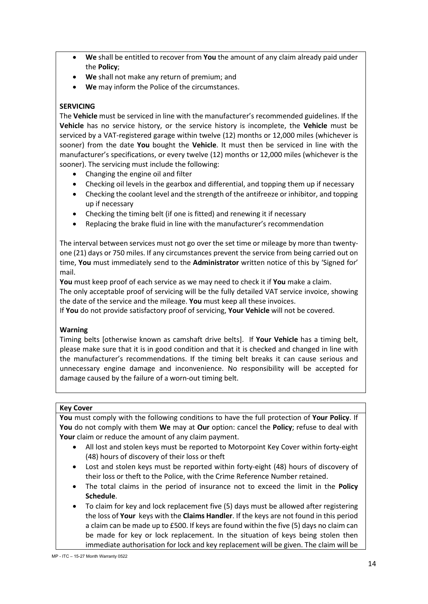- **We** shall be entitled to recover from **You** the amount of any claim already paid under the **Policy**;
- **We** shall not make any return of premium; and
- We may inform the Police of the circumstances.

# **SERVICING**

The **Vehicle** must be serviced in line with the manufacturer's recommended guidelines. If the **Vehicle** has no service history, or the service history is incomplete, the **Vehicle** must be serviced by a VAT-registered garage within twelve (12) months or 12,000 miles (whichever is sooner) from the date **You** bought the **Vehicle**. It must then be serviced in line with the manufacturer's specifications, or every twelve (12) months or 12,000 miles (whichever is the sooner). The servicing must include the following:

- Changing the engine oil and filter
- Checking oil levels in the gearbox and differential, and topping them up if necessary
- Checking the coolant level and the strength of the antifreeze or inhibitor, and topping up if necessary
- Checking the timing belt (if one is fitted) and renewing it if necessary
- Replacing the brake fluid in line with the manufacturer's recommendation

The interval between services must not go over the set time or mileage by more than twentyone (21) days or 750 miles. If any circumstances prevent the service from being carried out on time, **You** must immediately send to the **Administrator** written notice of this by 'Signed for' mail.

**You** must keep proof of each service as we may need to check it if **You** make a claim. The only acceptable proof of servicing will be the fully detailed VAT service invoice, showing the date of the service and the mileage. **You** must keep all these invoices.

If **You** do not provide satisfactory proof of servicing, **Your Vehicle** will not be covered.

#### **Warning**

Timing belts [otherwise known as camshaft drive belts]. If **Your Vehicle** has a timing belt, please make sure that it is in good condition and that it is checked and changed in line with the manufacturer's recommendations. If the timing belt breaks it can cause serious and unnecessary engine damage and inconvenience. No responsibility will be accepted for damage caused by the failure of a worn-out timing belt.

#### **Key Cover**

**You** must comply with the following conditions to have the full protection of **Your Policy**. If **You** do not comply with them **We** may at **Our** option: cancel the **Policy**; refuse to deal with **Your** claim or reduce the amount of any claim payment.

- All lost and stolen keys must be reported to Motorpoint Key Cover within forty-eight (48) hours of discovery of their loss or theft
- Lost and stolen keys must be reported within forty-eight (48) hours of discovery of their loss or theft to the Police, with the Crime Reference Number retained.
- The total claims in the period of insurance not to exceed the limit in the **Policy Schedule**.
- To claim for key and lock replacement five (5) days must be allowed after registering the loss of **Your** keys with the **Claims Handler**. If the keys are not found in this period a claim can be made up to £500. If keys are found within the five (5) days no claim can be made for key or lock replacement. In the situation of keys being stolen then immediate authorisation for lock and key replacement will be given. The claim will be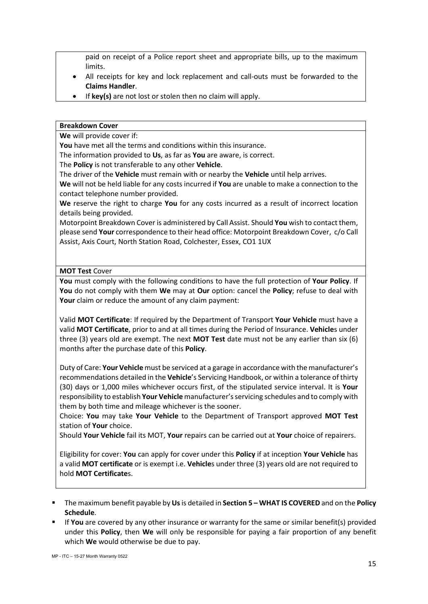paid on receipt of a Police report sheet and appropriate bills, up to the maximum limits.

- All receipts for key and lock replacement and call-outs must be forwarded to the **Claims Handler**.
- If **key(s)** are not lost or stolen then no claim will apply.

#### **Breakdown Cover**

**We** will provide cover if:

**You** have met all the terms and conditions within this insurance.

The information provided to **Us**, as far as **You** are aware, is correct.

The **Policy** is not transferable to any other **Vehicle**.

The driver of the **Vehicle** must remain with or nearby the **Vehicle** until help arrives.

**We** will not be held liable for any costs incurred if **You** are unable to make a connection to the contact telephone number provided.

**We** reserve the right to charge **You** for any costs incurred as a result of incorrect location details being provided.

Motorpoint Breakdown Cover is administered by Call Assist. Should **You** wish to contact them, please send **Your** correspondence to their head office: Motorpoint Breakdown Cover, c/o Call Assist, Axis Court, North Station Road, Colchester, Essex, CO1 1UX

#### **MOT Test** Cover

**You** must comply with the following conditions to have the full protection of **Your Policy**. If **You** do not comply with them **We** may at **Our** option: cancel the **Policy**; refuse to deal with **Your** claim or reduce the amount of any claim payment:

Valid **MOT Certificate**: If required by the Department of Transport **Your Vehicle** must have a valid **MOT Certificate**, prior to and at all times during the Period of Insurance. **Vehicle**s under three (3) years old are exempt. The next **MOT Test** date must not be any earlier than six (6) months after the purchase date of this **Policy**.

Duty of Care: **Your Vehicle** must be serviced at a garage in accordance with the manufacturer's recommendations detailed in the **Vehicle**'s Servicing Handbook, or within a tolerance of thirty (30) days or 1,000 miles whichever occurs first, of the stipulated service interval. It is **Your** responsibility to establish **Your Vehicle** manufacturer's servicing schedules and to comply with them by both time and mileage whichever is the sooner.

Choice: **You** may take **Your Vehicle** to the Department of Transport approved **MOT Test** station of **Your** choice.

Should **Your Vehicle** fail its MOT, **Your** repairs can be carried out at **Your** choice of repairers.

Eligibility for cover: **You** can apply for cover under this **Policy** if at inception **Your Vehicle** has a valid **MOT certificate** or is exempt i.e. **Vehicle**s under three (3) years old are not required to hold **MOT Certificate**s.

- The maximum benefit payable by **Us**is detailed in **Section 5 – WHAT IS COVERED** and on the **Policy Schedule**.
- If **You** are covered by any other insurance or warranty for the same or similar benefit(s) provided under this **Policy**, then **We** will only be responsible for paying a fair proportion of any benefit which **We** would otherwise be due to pay.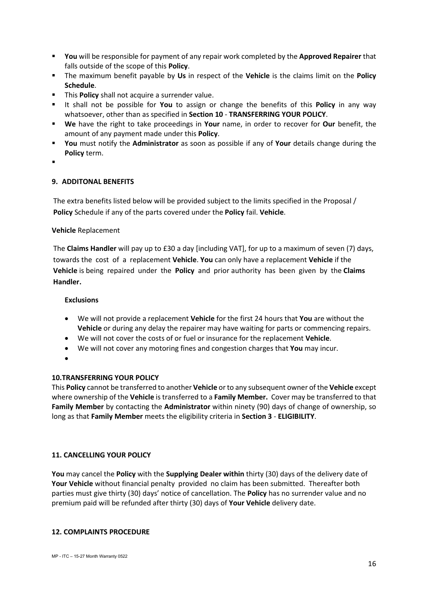- **You** will be responsible for payment of any repair work completed by the **Approved Repairer** that falls outside of the scope of this **Policy**.
- The maximum benefit payable by **Us** in respect of the **Vehicle** is the claims limit on the **Policy Schedule**.
- **This Policy** shall not acquire a surrender value.
- It shall not be possible for **You** to assign or change the benefits of this **Policy** in any way whatsoever, other than as specified in **Section 10** - **TRANSFERRING YOUR POLICY**.
- **We** have the right to take proceedings in **Your** name, in order to recover for **Our** benefit, the amount of any payment made under this **Policy**.
- **You** must notify the **Administrator** as soon as possible if any of **Your** details change during the **Policy** term.
- .

# **9. ADDITONAL BENEFITS**

The extra benefits listed below will be provided subject to the limits specified in the Proposal / **Policy** Schedule if any of the parts covered under the **Policy** fail. **Vehicle**.

## **Vehicle** Replacement

The **Claims Handler** will pay up to £30 a day [including VAT], for up to a maximum of seven (7) days, towards the cost of a replacement **Vehicle**. **You** can only have a replacement **Vehicle** if the **Vehicle** is being repaired under the **Policy** and prior authority has been given by the **Claims Handler.** 

## **Exclusions**

- We will not provide a replacement **Vehicle** for the first 24 hours that **You** are without the **Vehicle** or during any delay the repairer may have waiting for parts or commencing repairs.
- We will not cover the costs of or fuel or insurance for the replacement **Vehicle**.
- We will not cover any motoring fines and congestion charges that **You** may incur.
- •

# **10.TRANSFERRING YOUR POLICY**

This **Policy** cannot be transferred to another **Vehicle** or to any subsequent owner of the **Vehicle** except where ownership of the **Vehicle** is transferred to a **Family Member.** Cover may be transferred to that **Family Member** by contacting the **Administrator** within ninety (90) days of change of ownership, so long as that **Family Member** meets the eligibility criteria in **Section 3** - **ELIGIBILITY**.

# **11. CANCELLING YOUR POLICY**

**You** may cancel the **Policy** with the **Supplying Dealer within** thirty (30) days of the delivery date of **Your Vehicle** without financial penalty provided no claim has been submitted. Thereafter both parties must give thirty (30) days' notice of cancellation. The **Policy** has no surrender value and no premium paid will be refunded after thirty (30) days of **Your Vehicle** delivery date.

#### **12. COMPLAINTS PROCEDURE**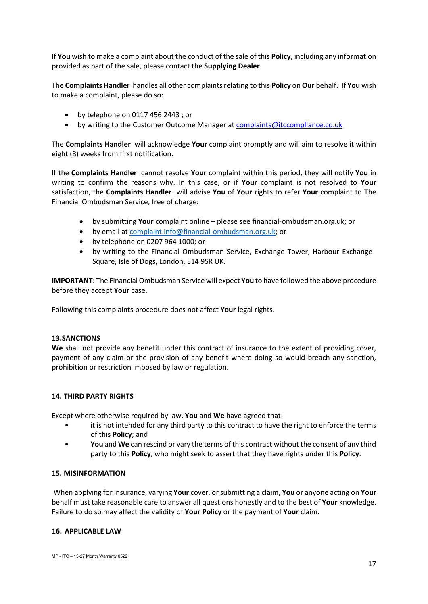If **You** wish to make a complaint about the conduct of the sale of this **Policy**, including any information provided as part of the sale, please contact the **Supplying Dealer**.

The **Complaints Handler** handles all other complaints relating to this **Policy** on **Our** behalf. If **You** wish to make a complaint, please do so:

- by telephone on 0117 456 2443 ; or
- by writing to the Customer Outcome Manager a[t complaints@itccompliance.co.uk](mailto:complaints@itccompliance.co.uk)

The **Complaints Handler** will acknowledge **Your** complaint promptly and will aim to resolve it within eight (8) weeks from first notification.

If the **Complaints Handler** cannot resolve **Your** complaint within this period, they will notify **You** in writing to confirm the reasons why. In this case, or if **Your** complaint is not resolved to **Your** satisfaction, the **Complaints Handler** will advise **You** of **Your** rights to refer **Your** complaint to The Financial Ombudsman Service, free of charge:

- by submitting **Your** complaint online please see financial-ombudsman.org.uk; or
- by email at [complaint.info@financial-ombudsman.org.uk;](mailto:complaint.info@financial-ombudsman.org.uk) or
- by telephone on 0207 964 1000; or
- by writing to the Financial Ombudsman Service, Exchange Tower, Harbour Exchange Square, Isle of Dogs, London, E14 9SR UK.

**IMPORTANT**: The Financial Ombudsman Service will expect **You** to have followed the above procedure before they accept **Your** case.

Following this complaints procedure does not affect **Your** legal rights.

#### **13.SANCTIONS**

**We** shall not provide any benefit under this contract of insurance to the extent of providing cover, payment of any claim or the provision of any benefit where doing so would breach any sanction, prohibition or restriction imposed by law or regulation.

#### **14. THIRD PARTY RIGHTS**

Except where otherwise required by law, **You** and **We** have agreed that:

- it is not intended for any third party to this contract to have the right to enforce the terms of this **Policy**; and
- **You** and **We** can rescind or vary the terms of this contract without the consent of any third party to this **Policy**, who might seek to assert that they have rights under this **Policy**.

#### **15. MISINFORMATION**

When applying for insurance, varying **Your** cover, or submitting a claim, **You** or anyone acting on **Your** behalf must take reasonable care to answer all questions honestly and to the best of **Your** knowledge. Failure to do so may affect the validity of **Your Policy** or the payment of **Your** claim.

#### **16. APPLICABLE LAW**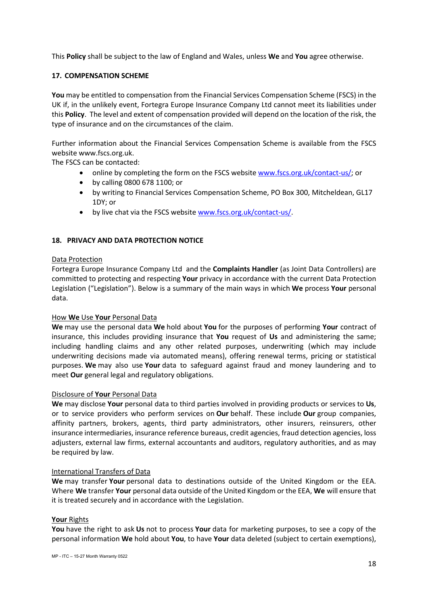This **Policy** shall be subject to the law of England and Wales, unless **We** and **You** agree otherwise.

## **17. COMPENSATION SCHEME**

**You** may be entitled to compensation from the Financial Services Compensation Scheme (FSCS) in the UK if, in the unlikely event, Fortegra Europe Insurance Company Ltd cannot meet its liabilities under this **Policy**. The level and extent of compensation provided will depend on the location of the risk, the type of insurance and on the circumstances of the claim.

Further information about the Financial Services Compensation Scheme is available from the FSCS website www.fscs.org.uk.

The FSCS can be contacted:

- online by completing the form on the FSCS website [www.fscs.org.uk/contact-us/;](http://www.fscs.org.uk/contact-us/) or
- by calling 0800 678 1100; or
- by writing to Financial Services Compensation Scheme, PO Box 300, Mitcheldean, GL17 1DY; or
- by live chat via the FSCS website [www.fscs.org.uk/contact-us/.](http://www.fscs.org.uk/contact-us/)

## **18. PRIVACY AND DATA PROTECTION NOTICE**

#### Data Protection

Fortegra Europe Insurance Company Ltd and the **Complaints Handler** (as Joint Data Controllers) are committed to protecting and respecting **Your** privacy in accordance with the current Data Protection Legislation ("Legislation"). Below is a summary of the main ways in which **We** process **Your** personal data.

#### How **We** Use **Your** Personal Data

**We** may use the personal data **We** hold about **You** for the purposes of performing **Your** contract of insurance, this includes providing insurance that **You** request of **Us** and administering the same; including handling claims and any other related purposes, underwriting (which may include underwriting decisions made via automated means), offering renewal terms, pricing or statistical purposes. **We** may also use **Your** data to safeguard against fraud and money laundering and to meet **Our** general legal and regulatory obligations.

#### Disclosure of **Your** Personal Data

**We** may disclose **Your** personal data to third parties involved in providing products or services to **Us**, or to service providers who perform services on **Our** behalf. These include **Our** group companies, affinity partners, brokers, agents, third party administrators, other insurers, reinsurers, other insurance intermediaries, insurance reference bureaus, credit agencies, fraud detection agencies, loss adjusters, external law firms, external accountants and auditors, regulatory authorities, and as may be required by law.

#### International Transfers of Data

**We** may transfer **Your** personal data to destinations outside of the United Kingdom or the EEA. Where **We** transfer **Your** personal data outside of the United Kingdom or the EEA, **We** will ensure that it is treated securely and in accordance with the Legislation.

#### **Your** Rights

**You** have the right to ask **Us** not to process **Your** data for marketing purposes, to see a copy of the personal information **We** hold about **You**, to have **Your** data deleted (subject to certain exemptions),